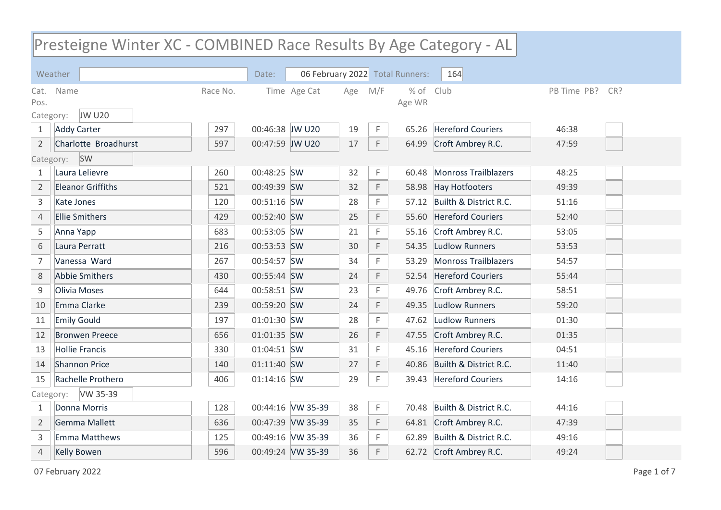## Presteigne Winter XC - COMBINED Race Results By Age Category - AL

|                | Weather                  |          | Date:           |                   |     |     | 06 February 2022 Total Runners: | 164                          |                    |
|----------------|--------------------------|----------|-----------------|-------------------|-----|-----|---------------------------------|------------------------------|--------------------|
| Cat.           | Name                     | Race No. |                 | Time Age Cat      | Age | M/F | $%$ of                          | Club                         | PB Time PB?<br>CR? |
| Pos.           |                          |          |                 |                   |     |     | Age WR                          |                              |                    |
| Category:      | <b>JW U20</b>            |          |                 |                   |     |     |                                 |                              |                    |
| $\mathbf{1}$   | <b>Addy Carter</b>       | 297      | 00:46:38 JW U20 |                   | 19  | F.  | 65.26                           | <b>Hereford Couriers</b>     | 46:38              |
| $\overline{2}$ | Charlotte Broadhurst     | 597      | 00:47:59 JW U20 |                   | 17  | F.  | 64.99                           | Croft Ambrey R.C.            | 47:59              |
| Category:      | <b>SW</b>                |          |                 |                   |     |     |                                 |                              |                    |
| 1              | Laura Lelievre           | 260      | 00:48:25 SW     |                   | 32  | F.  | 60.48                           | Monross Trailblazers         | 48:25              |
| $\overline{2}$ | <b>Eleanor Griffiths</b> | 521      | 00:49:39 SW     |                   | 32  | F   |                                 | 58.98 Hay Hotfooters         | 49:39              |
| 3              | Kate Jones               | 120      | 00:51:16 SW     |                   | 28  | F   |                                 | 57.12 Builth & District R.C. | 51:16              |
| 4              | <b>Ellie Smithers</b>    | 429      | 00:52:40 SW     |                   | 25  | F   |                                 | 55.60 Hereford Couriers      | 52:40              |
| 5              | Anna Yapp                | 683      | 00:53:05 SW     |                   | 21  | F   | 55.16                           | Croft Ambrey R.C.            | 53:05              |
| 6              | Laura Perratt            | 216      | 00:53:53 SW     |                   | 30  | F   | 54.35                           | Ludlow Runners               | 53:53              |
| $\overline{7}$ | Vanessa Ward             | 267      | 00:54:57 SW     |                   | 34  | F   | 53.29                           | Monross Trailblazers         | 54:57              |
| 8              | <b>Abbie Smithers</b>    | 430      | 00:55:44 SW     |                   | 24  | F   | 52.54                           | <b>Hereford Couriers</b>     | 55:44              |
| $\mathsf g$    | Olivia Moses             | 644      | 00:58:51 SW     |                   | 23  | F   | 49.76                           | Croft Ambrey R.C.            | 58:51              |
| 10             | Emma Clarke              | 239      | 00:59:20 SW     |                   | 24  | F   | 49.35                           | Ludlow Runners               | 59:20              |
| 11             | <b>Emily Gould</b>       | 197      | 01:01:30 SW     |                   | 28  | F   |                                 | 47.62 Ludlow Runners         | 01:30              |
| 12             | <b>Bronwen Preece</b>    | 656      | 01:01:35 SW     |                   | 26  | F   | 47.55                           | Croft Ambrey R.C.            | 01:35              |
| 13             | <b>Hollie Francis</b>    | 330      | 01:04:51 SW     |                   | 31  | F   | 45.16                           | <b>Hereford Couriers</b>     | 04:51              |
| 14             | <b>Shannon Price</b>     | 140      | 01:11:40 SW     |                   | 27  | F   | 40.86                           | Builth & District R.C.       | 11:40              |
| 15             | Rachelle Prothero        | 406      | 01:14:16 SW     |                   | 29  | F.  |                                 | 39.43 Hereford Couriers      | 14:16              |
| Category:      | VW 35-39                 |          |                 |                   |     |     |                                 |                              |                    |
| $\mathbf{1}$   | Donna Morris             | 128      |                 | 00:44:16 VW 35-39 | 38  | F   |                                 | 70.48 Builth & District R.C. | 44:16              |
| $\overline{2}$ | <b>Gemma Mallett</b>     | 636      |                 | 00:47:39 VW 35-39 | 35  | F   | 64.81                           | Croft Ambrey R.C.            | 47:39              |
| 3              | <b>Emma Matthews</b>     | 125      |                 | 00:49:16 VW 35-39 | 36  | F.  | 62.89                           | Builth & District R.C.       | 49:16              |
| $\overline{4}$ | <b>Kelly Bowen</b>       | 596      |                 | 00:49:24 VW 35-39 | 36  | F   |                                 | 62.72 Croft Ambrey R.C.      | 49:24              |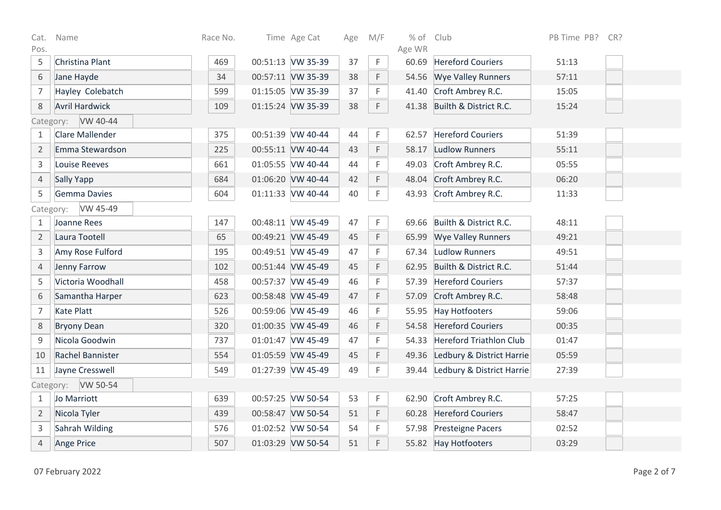| Cat.           | Name                  | Race No. | Time Age Cat      | Age | M/F | % of Club       |                                | PB Time PB? CR? |  |
|----------------|-----------------------|----------|-------------------|-----|-----|-----------------|--------------------------------|-----------------|--|
| Pos.<br>5      | Christina Plant       | 469      | 00:51:13 VW 35-39 | 37  | F   | Age WR<br>60.69 | <b>Hereford Couriers</b>       |                 |  |
|                |                       |          |                   |     |     |                 |                                | 51:13           |  |
| 6              | Jane Hayde            | 34       | 00:57:11 VW 35-39 | 38  | F   | 54.56           | <b>Wye Valley Runners</b>      | 57:11           |  |
| $\overline{7}$ | Hayley Colebatch      | 599      | 01:15:05 VW 35-39 | 37  | F   | 41.40           | Croft Ambrey R.C.              | 15:05           |  |
| $\,8\,$        | <b>Avril Hardwick</b> | 109      | 01:15:24 VW 35-39 | 38  | F.  | 41.38           | Builth & District R.C.         | 15:24           |  |
| Category:      | VW 40-44              |          |                   |     |     |                 |                                |                 |  |
| 1              | Clare Mallender       | 375      | 00:51:39 VW 40-44 | 44  | F.  | 62.57           | <b>Hereford Couriers</b>       | 51:39           |  |
| $\overline{2}$ | Emma Stewardson       | 225      | 00:55:11 VW 40-44 | 43  | F   | 58.17           | <b>Ludlow Runners</b>          | 55:11           |  |
| $\overline{3}$ | <b>Louise Reeves</b>  | 661      | 01:05:55 VW 40-44 | 44  | F   | 49.03           | Croft Ambrey R.C.              | 05:55           |  |
| $\overline{4}$ | Sally Yapp            | 684      | 01:06:20 VW 40-44 | 42  | F.  | 48.04           | Croft Ambrey R.C.              | 06:20           |  |
| 5              | <b>Gemma Davies</b>   | 604      | 01:11:33 VW 40-44 | 40  | F.  | 43.93           | Croft Ambrey R.C.              | 11:33           |  |
| Category:      | VW 45-49              |          |                   |     |     |                 |                                |                 |  |
| $\mathbf{1}$   | Joanne Rees           | 147      | 00:48:11 VW 45-49 | 47  | F.  | 69.66           | Builth & District R.C.         | 48:11           |  |
| $\overline{2}$ | Laura Tootell         | 65       | 00:49:21 VW 45-49 | 45  | F   | 65.99           | <b>Wye Valley Runners</b>      | 49:21           |  |
| 3              | Amy Rose Fulford      | 195      | 00:49:51 VW 45-49 | 47  | F.  | 67.34           | <b>Ludlow Runners</b>          | 49:51           |  |
| $\overline{4}$ | Jenny Farrow          | 102      | 00:51:44 VW 45-49 | 45  | F   | 62.95           | Builth & District R.C.         | 51:44           |  |
| 5              | Victoria Woodhall     | 458      | 00:57:37 VW 45-49 | 46  | F.  | 57.39           | <b>Hereford Couriers</b>       | 57:37           |  |
| $\,$ 6 $\,$    | Samantha Harper       | 623      | 00:58:48 VW 45-49 | 47  | F.  | 57.09           | Croft Ambrey R.C.              | 58:48           |  |
| $\overline{7}$ | <b>Kate Platt</b>     | 526      | 00:59:06 VW 45-49 | 46  | F.  | 55.95           | <b>Hay Hotfooters</b>          | 59:06           |  |
| 8              | <b>Bryony Dean</b>    | 320      | 01:00:35 VW 45-49 | 46  | F   | 54.58           | <b>Hereford Couriers</b>       | 00:35           |  |
| 9              | Nicola Goodwin        | 737      | 01:01:47 VW 45-49 | 47  | F   | 54.33           | <b>Hereford Triathlon Club</b> | 01:47           |  |
| 10             | Rachel Bannister      | 554      | 01:05:59 VW 45-49 | 45  | F   | 49.36           | Ledbury & District Harrie      | 05:59           |  |
| 11             | Jayne Cresswell       | 549      | 01:27:39 VW 45-49 | 49  | F.  | 39.44           | Ledbury & District Harrie      | 27:39           |  |
|                | Category: VW 50-54    |          |                   |     |     |                 |                                |                 |  |
| $\mathbf{1}$   | Jo Marriott           | 639      | 00:57:25 VW 50-54 | 53  | F.  | 62.90           | Croft Ambrey R.C.              | 57:25           |  |
| $\overline{2}$ | Nicola Tyler          | 439      | 00:58:47 VW 50-54 | 51  | F.  | 60.28           | <b>Hereford Couriers</b>       | 58:47           |  |
| 3              | Sahrah Wilding        | 576      | 01:02:52 VW 50-54 | 54  | F   |                 | 57.98 Presteigne Pacers        | 02:52           |  |
| $\overline{4}$ | Ange Price            | 507      | 01:03:29 VW 50-54 | 51  | F.  |                 | 55.82 Hay Hotfooters           | 03:29           |  |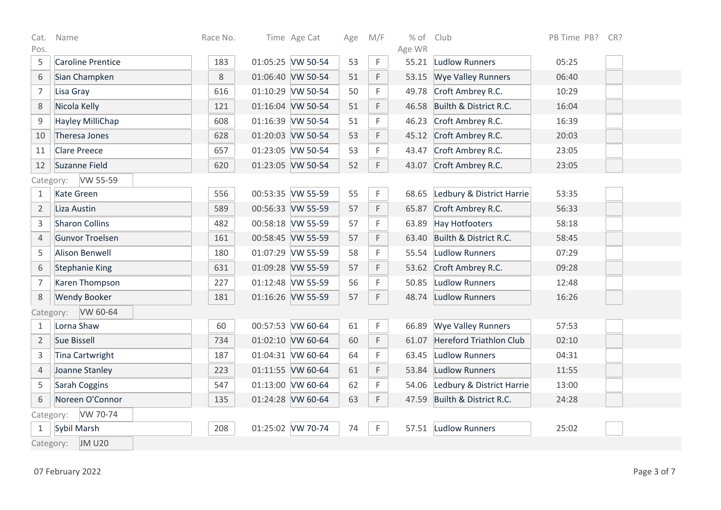| Cat.           | Name                       | Race No. | Time Age Cat      | Age | M/F | % of Club |                                | PB Time PB?<br>CR? |  |
|----------------|----------------------------|----------|-------------------|-----|-----|-----------|--------------------------------|--------------------|--|
| Pos.           |                            |          |                   |     |     | Age WR    |                                |                    |  |
| 5              | <b>Caroline Prentice</b>   | 183      | 01:05:25 VW 50-54 | 53  | F   | 55.21     | <b>Ludlow Runners</b>          | 05:25              |  |
| 6              | Sian Champken              | 8        | 01:06:40 VW 50-54 | 51  | F   | 53.15     | <b>Wye Valley Runners</b>      | 06:40              |  |
| $\overline{7}$ | Lisa Gray                  | 616      | 01:10:29 VW 50-54 | 50  | F   | 49.78     | Croft Ambrey R.C.              | 10:29              |  |
| 8              | Nicola Kelly               | 121      | 01:16:04 VW 50-54 | 51  | F   | 46.58     | Builth & District R.C.         | 16:04              |  |
| $\mathsf 9$    | Hayley MilliChap           | 608      | 01:16:39 VW 50-54 | 51  | F   | 46.23     | Croft Ambrey R.C.              | 16:39              |  |
| 10             | Theresa Jones              | 628      | 01:20:03 VW 50-54 | 53  | F   |           | 45.12 Croft Ambrey R.C.        | 20:03              |  |
| 11             | <b>Clare Preece</b>        | 657      | 01:23:05 VW 50-54 | 53  | F   | 43.47     | Croft Ambrey R.C.              | 23:05              |  |
| 12             | Suzanne Field              | 620      | 01:23:05 VW 50-54 | 52  | F.  | 43.07     | Croft Ambrey R.C.              | 23:05              |  |
|                | VW 55-59<br>Category:      |          |                   |     |     |           |                                |                    |  |
| 1              | <b>Kate Green</b>          | 556      | 00:53:35 VW 55-59 | 55  | F.  | 68.65     | Ledbury & District Harrie      | 53:35              |  |
| $\overline{2}$ | Liza Austin                | 589      | 00:56:33 VW 55-59 | 57  | F   | 65.87     | Croft Ambrey R.C.              | 56:33              |  |
| $\mathsf 3$    | <b>Sharon Collins</b>      | 482      | 00:58:18 VW 55-59 | 57  | F   | 63.89     | <b>Hay Hotfooters</b>          | 58:18              |  |
| 4              | Gunvor Troelsen            | 161      | 00:58:45 VW 55-59 | 57  | F   | 63.40     | Builth & District R.C.         | 58:45              |  |
| 5              | <b>Alison Benwell</b>      | 180      | 01:07:29 VW 55-59 | 58  | F   | 55.54     | Ludlow Runners                 | 07:29              |  |
| 6              | <b>Stephanie King</b>      | 631      | 01:09:28 VW 55-59 | 57  | F   | 53.62     | Croft Ambrey R.C.              | 09:28              |  |
| $\overline{7}$ | Karen Thompson             | 227      | 01:12:48 VW 55-59 | 56  | F   | 50.85     | <b>Ludlow Runners</b>          | 12:48              |  |
| $\,8\,$        | <b>Wendy Booker</b>        | 181      | 01:16:26 VW 55-59 | 57  | F.  | 48.74     | <b>Ludlow Runners</b>          | 16:26              |  |
|                | VW 60-64<br>Category:      |          |                   |     |     |           |                                |                    |  |
| 1              | Lorna Shaw                 | 60       | 00:57:53 VW 60-64 | 61  | F   | 66.89     | <b>Wye Valley Runners</b>      | 57:53              |  |
| $\overline{2}$ | <b>Sue Bissell</b>         | 734      | 01:02:10 VW 60-64 | 60  | F   | 61.07     | <b>Hereford Triathlon Club</b> | 02:10              |  |
| 3              | <b>Tina Cartwright</b>     | 187      | 01:04:31 VW 60-64 | 64  | F   | 63.45     | <b>Ludlow Runners</b>          | 04:31              |  |
| $\overline{4}$ | Joanne Stanley             | 223      | 01:11:55 VW 60-64 | 61  | F   | 53.84     | <b>Ludlow Runners</b>          | 11:55              |  |
| 5              | Sarah Coggins              | 547      | 01:13:00 VW 60-64 | 62  | F   | 54.06     | Ledbury & District Harrie      | 13:00              |  |
| 6              | Noreen O'Connor            | 135      | 01:24:28 VW 60-64 | 63  | F.  | 47.59     | Builth & District R.C.         | 24:28              |  |
|                | VW 70-74<br>Category:      |          |                   |     |     |           |                                |                    |  |
| 1              | Sybil Marsh                | 208      | 01:25:02 VW 70-74 | 74  | F.  |           | 57.51 Ludlow Runners           | 25:02              |  |
|                | <b>JM U20</b><br>Category: |          |                   |     |     |           |                                |                    |  |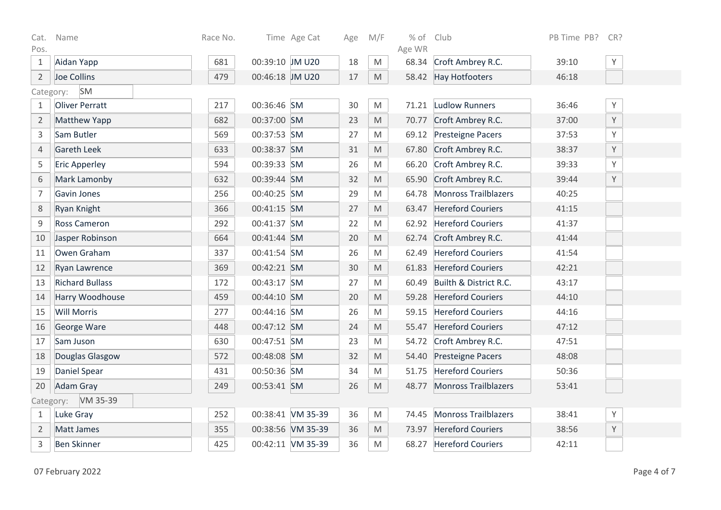| Cat.<br>Pos.   | Name                   | Race No. |                 | Time Age Cat      | Age    | M/F                                                                                                        | $%$ of<br>Age WR | Club                        | PB Time PB? | CR? |
|----------------|------------------------|----------|-----------------|-------------------|--------|------------------------------------------------------------------------------------------------------------|------------------|-----------------------------|-------------|-----|
| $\mathbf{1}$   | Aidan Yapp             | 681      | 00:39:10 JM U20 |                   | 18     | M                                                                                                          | 68.34            | Croft Ambrey R.C.           | 39:10       | Y   |
| $\overline{2}$ | Joe Collins            | 479      | 00:46:18 JM U20 |                   | $17\,$ | M                                                                                                          |                  | 58.42 Hay Hotfooters        | 46:18       |     |
| Category:      | SM                     |          |                 |                   |        |                                                                                                            |                  |                             |             |     |
| $\mathbf{1}$   | <b>Oliver Perratt</b>  | 217      | 00:36:46 SM     |                   | 30     | M                                                                                                          | 71.21            | Ludlow Runners              | 36:46       | Y   |
| 2              | <b>Matthew Yapp</b>    | 682      | 00:37:00 SM     |                   | 23     | $\mathsf{M}% _{T}=\mathsf{M}_{T}\!\left( a,b\right) ,\ \mathsf{M}_{T}=\mathsf{M}_{T}\!\left( a,b\right) ,$ |                  | 70.77 Croft Ambrey R.C.     | 37:00       | Y   |
| $\overline{3}$ | Sam Butler             | 569      | 00:37:53 SM     |                   | 27     | M                                                                                                          | 69.12            | Presteigne Pacers           | 37:53       | Υ   |
| 4              | <b>Gareth Leek</b>     | 633      | 00:38:37 SM     |                   | 31     | M                                                                                                          | 67.80            | Croft Ambrey R.C.           | 38:37       | Y   |
| 5              | <b>Eric Apperley</b>   | 594      | 00:39:33 SM     |                   | 26     | M                                                                                                          | 66.20            | Croft Ambrey R.C.           | 39:33       | Υ   |
| 6              | Mark Lamonby           | 632      | 00:39:44 SM     |                   | 32     | $\mathsf{M}% _{T}=\mathsf{M}_{T}\!\left( a,b\right) ,\ \mathsf{M}_{T}=\mathsf{M}_{T}\!\left( a,b\right) ,$ | 65.90            | Croft Ambrey R.C.           | 39:44       | Y   |
| $\overline{7}$ | Gavin Jones            | 256      | 00:40:25 SM     |                   | 29     | M                                                                                                          | 64.78            | <b>Monross Trailblazers</b> | 40:25       |     |
| $\,8\,$        | Ryan Knight            | 366      | 00:41:15 SM     |                   | 27     | M                                                                                                          | 63.47            | <b>Hereford Couriers</b>    | 41:15       |     |
| $\mathsf g$    | <b>Ross Cameron</b>    | 292      | 00:41:37 SM     |                   | 22     | M                                                                                                          | 62.92            | <b>Hereford Couriers</b>    | 41:37       |     |
| 10             | Jasper Robinson        | 664      | 00:41:44 SM     |                   | 20     | M                                                                                                          |                  | 62.74 Croft Ambrey R.C.     | 41:44       |     |
| 11             | Owen Graham            | 337      | 00:41:54 SM     |                   | 26     | $\mathsf{M}% _{T}=\mathsf{M}_{T}\!\left( a,b\right) ,\ \mathsf{M}_{T}=\mathsf{M}_{T}\!\left( a,b\right) ,$ | 62.49            | <b>Hereford Couriers</b>    | 41:54       |     |
| 12             | <b>Ryan Lawrence</b>   | 369      | 00:42:21 SM     |                   | 30     | $\mathsf{M}% _{T}=\mathsf{M}_{T}\!\left( a,b\right) ,\ \mathsf{M}_{T}=\mathsf{M}_{T}\!\left( a,b\right) ,$ | 61.83            | <b>Hereford Couriers</b>    | 42:21       |     |
| 13             | <b>Richard Bullass</b> | 172      | 00:43:17 SM     |                   | 27     | M                                                                                                          | 60.49            | Builth & District R.C.      | 43:17       |     |
| 14             | Harry Woodhouse        | 459      | 00:44:10 SM     |                   | 20     | $\mathsf{M}% _{T}=\mathsf{M}_{T}\!\left( a,b\right) ,\ \mathsf{M}_{T}=\mathsf{M}_{T}\!\left( a,b\right) ,$ | 59.28            | <b>Hereford Couriers</b>    | 44:10       |     |
| 15             | <b>Will Morris</b>     | 277      | 00:44:16 SM     |                   | 26     | M                                                                                                          | 59.15            | <b>Hereford Couriers</b>    | 44:16       |     |
| 16             | George Ware            | 448      | 00:47:12 SM     |                   | 24     | M                                                                                                          | 55.47            | <b>Hereford Couriers</b>    | 47:12       |     |
| 17             | Sam Juson              | 630      | 00:47:51 SM     |                   | 23     | M                                                                                                          | 54.72            | Croft Ambrey R.C.           | 47:51       |     |
| 18             | Douglas Glasgow        | 572      | 00:48:08 SM     |                   | 32     | $\mathsf{M}% _{T}=\mathsf{M}_{T}\!\left( a,b\right) ,\ \mathsf{M}_{T}=\mathsf{M}_{T}\!\left( a,b\right) ,$ | 54.40            | Presteigne Pacers           | 48:08       |     |
| 19             | Daniel Spear           | 431      | 00:50:36 SM     |                   | 34     | ${\sf M}$                                                                                                  | 51.75            | <b>Hereford Couriers</b>    | 50:36       |     |
| 20             | Adam Gray              | 249      | 00:53:41 SM     |                   | 26     | M                                                                                                          |                  | 48.77 Monross Trailblazers  | 53:41       |     |
| Category:      | VM 35-39               |          |                 |                   |        |                                                                                                            |                  |                             |             |     |
| $\mathbf{1}$   | Luke Gray              | 252      |                 | 00:38:41 VM 35-39 | 36     | M                                                                                                          | 74.45            | <b>Monross Trailblazers</b> | 38:41       | Y   |
| $\overline{2}$ | Matt James             | 355      |                 | 00:38:56 VM 35-39 | 36     | M                                                                                                          | 73.97            | <b>Hereford Couriers</b>    | 38:56       | Y   |
| 3              | <b>Ben Skinner</b>     | 425      |                 | 00:42:11 VM 35-39 | 36     | $\mathsf{M}% _{T}=\mathsf{M}_{T}\!\left( a,b\right) ,\ \mathsf{M}_{T}=\mathsf{M}_{T}\!\left( a,b\right) ,$ | 68.27            | <b>Hereford Couriers</b>    | 42:11       |     |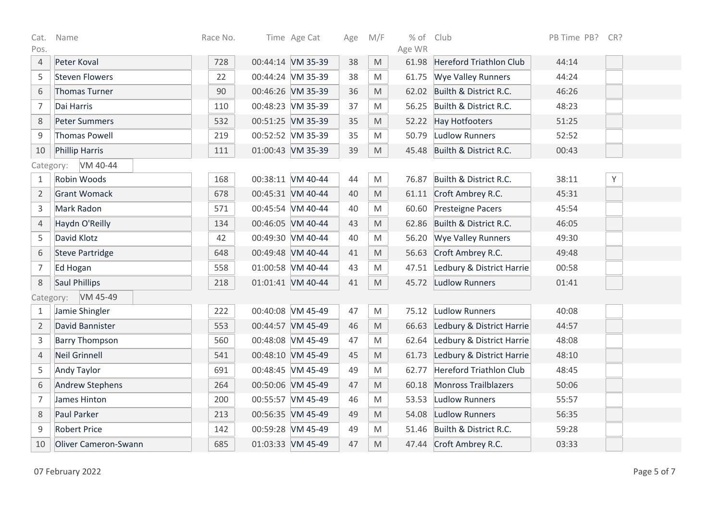| Cat.           | Name                        | Race No. | Time Age Cat      | Age | M/F                                                                                                        | % of Club |                                 | PB Time PB? CR? |   |
|----------------|-----------------------------|----------|-------------------|-----|------------------------------------------------------------------------------------------------------------|-----------|---------------------------------|-----------------|---|
| Pos.           |                             |          |                   |     |                                                                                                            | Age WR    |                                 |                 |   |
| $\sqrt{4}$     | Peter Koval                 | 728      | 00:44:14 VM 35-39 | 38  | M                                                                                                          | 61.98     | Hereford Triathlon Club         | 44:14           |   |
| 5              | <b>Steven Flowers</b>       | 22       | 00:44:24 VM 35-39 | 38  | M                                                                                                          | 61.75     | <b>Wye Valley Runners</b>       | 44:24           |   |
| 6              | Thomas Turner               | 90       | 00:46:26 VM 35-39 | 36  | M                                                                                                          |           | 62.02 Builth & District R.C.    | 46:26           |   |
| $\overline{7}$ | Dai Harris                  | 110      | 00:48:23 VM 35-39 | 37  | M                                                                                                          | 56.25     | Builth & District R.C.          | 48:23           |   |
| $\,8\,$        | <b>Peter Summers</b>        | 532      | 00:51:25 VM 35-39 | 35  | M                                                                                                          | 52.22     | Hay Hotfooters                  | 51:25           |   |
| 9              | <b>Thomas Powell</b>        | 219      | 00:52:52 VM 35-39 | 35  | M                                                                                                          | 50.79     | Ludlow Runners                  | 52:52           |   |
| 10             | <b>Phillip Harris</b>       | 111      | 01:00:43 VM 35-39 | 39  | M                                                                                                          |           | 45.48 Builth & District R.C.    | 00:43           |   |
| Category:      | VM 40-44                    |          |                   |     |                                                                                                            |           |                                 |                 |   |
| $\mathbf{1}$   | Robin Woods                 | 168      | 00:38:11 VM 40-44 | 44  | M                                                                                                          | 76.87     | Builth & District R.C.          | 38:11           | Y |
| $\overline{2}$ | <b>Grant Womack</b>         | 678      | 00:45:31 VM 40-44 | 40  | M                                                                                                          |           | 61.11 Croft Ambrey R.C.         | 45:31           |   |
| $\mathsf 3$    | Mark Radon                  | 571      | 00:45:54 VM 40-44 | 40  | M                                                                                                          | 60.60     | Presteigne Pacers               | 45:54           |   |
| $\sqrt{4}$     | Haydn O'Reilly              | 134      | 00:46:05 VM 40-44 | 43  | M                                                                                                          | 62.86     | Builth & District R.C.          | 46:05           |   |
| 5              | David Klotz                 | 42       | 00:49:30 VM 40-44 | 40  | M                                                                                                          |           | 56.20 Wye Valley Runners        | 49:30           |   |
| 6              | <b>Steve Partridge</b>      | 648      | 00:49:48 VM 40-44 | 41  | M                                                                                                          |           | 56.63 Croft Ambrey R.C.         | 49:48           |   |
| $\overline{7}$ | Ed Hogan                    | 558      | 01:00:58 VM 40-44 | 43  | M                                                                                                          | 47.51     | Ledbury & District Harrie       | 00:58           |   |
| $\,8\,$        | Saul Phillips               | 218      | 01:01:41 VM 40-44 | 41  | M                                                                                                          | 45.72     | Ludlow Runners                  | 01:41           |   |
|                | VM 45-49<br>Category:       |          |                   |     |                                                                                                            |           |                                 |                 |   |
| $\mathbf{1}$   | Jamie Shingler              | 222      | 00:40:08 VM 45-49 | 47  | M                                                                                                          | 75.12     | Ludlow Runners                  | 40:08           |   |
| $\overline{2}$ | David Bannister             | 553      | 00:44:57 VM 45-49 | 46  | M                                                                                                          | 66.63     | Ledbury & District Harrie       | 44:57           |   |
| $\mathsf 3$    | <b>Barry Thompson</b>       | 560      | 00:48:08 VM 45-49 | 47  | M                                                                                                          |           | 62.64 Ledbury & District Harrie | 48:08           |   |
| $\overline{4}$ | <b>Neil Grinnell</b>        | 541      | 00:48:10 VM 45-49 | 45  | M                                                                                                          | 61.73     | Ledbury & District Harrie       | 48:10           |   |
| 5              | <b>Andy Taylor</b>          | 691      | 00:48:45 VM 45-49 | 49  | M                                                                                                          | 62.77     | <b>Hereford Triathlon Club</b>  | 48:45           |   |
| 6              | <b>Andrew Stephens</b>      | 264      | 00:50:06 VM 45-49 | 47  | M                                                                                                          |           | 60.18 Monross Trailblazers      | 50:06           |   |
| $\overline{7}$ | James Hinton                | 200      | 00:55:57 VM 45-49 | 46  | M                                                                                                          | 53.53     | Ludlow Runners                  | 55:57           |   |
| $\,8\,$        | Paul Parker                 | 213      | 00:56:35 VM 45-49 | 49  | M                                                                                                          | 54.08     | <b>Ludlow Runners</b>           | 56:35           |   |
| 9              | <b>Robert Price</b>         | 142      | 00:59:28 VM 45-49 | 49  | M                                                                                                          |           | 51.46 Builth & District R.C.    | 59:28           |   |
| 10             | <b>Oliver Cameron-Swann</b> | 685      | 01:03:33 VM 45-49 | 47  | $\mathsf{M}% _{T}=\mathsf{M}_{T}\!\left( a,b\right) ,\ \mathsf{M}_{T}=\mathsf{M}_{T}\!\left( a,b\right) ,$ |           | 47.44 Croft Ambrey R.C.         | 03:33           |   |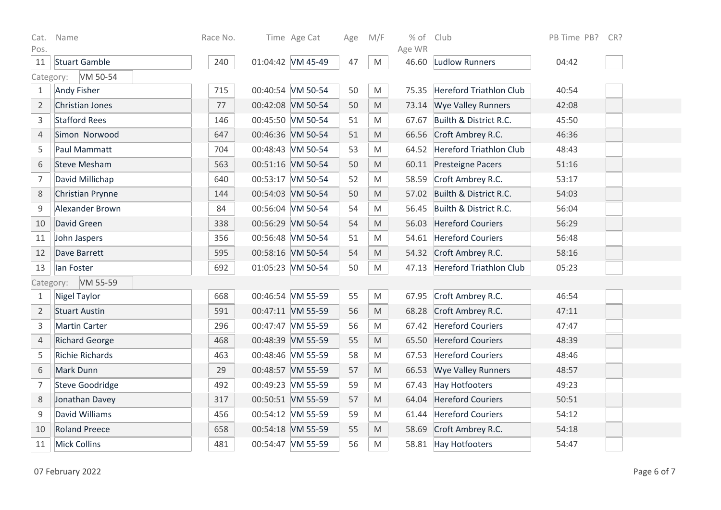| Cat.           | Name                   | Race No. | Time Age Cat      | Age | M/F                                                                                                        | % of Club       |                                | PB Time PB?<br>CR? |
|----------------|------------------------|----------|-------------------|-----|------------------------------------------------------------------------------------------------------------|-----------------|--------------------------------|--------------------|
| Pos.<br>11     | <b>Stuart Gamble</b>   | 240      | 01:04:42 VM 45-49 | 47  | M                                                                                                          | Age WR<br>46.60 | <b>Ludlow Runners</b>          | 04:42              |
| Category:      | VM 50-54               |          |                   |     |                                                                                                            |                 |                                |                    |
| $\mathbf{1}$   | <b>Andy Fisher</b>     | 715      | 00:40:54 VM 50-54 | 50  | M                                                                                                          | 75.35           | <b>Hereford Triathlon Club</b> | 40:54              |
| $\overline{2}$ | Christian Jones        | 77       | 00:42:08 VM 50-54 | 50  | M                                                                                                          | 73.14           | <b>Wye Valley Runners</b>      | 42:08              |
| 3              | <b>Stafford Rees</b>   | 146      | 00:45:50 VM 50-54 | 51  | M                                                                                                          | 67.67           | Builth & District R.C.         | 45:50              |
| $\overline{4}$ | Simon Norwood          | 647      | 00:46:36 VM 50-54 | 51  | M                                                                                                          | 66.56           | Croft Ambrey R.C.              | 46:36              |
| 5              | Paul Mammatt           | 704      | 00:48:43 VM 50-54 | 53  | M                                                                                                          |                 | 64.52 Hereford Triathlon Club  | 48:43              |
| 6              | <b>Steve Mesham</b>    | 563      | 00:51:16 VM 50-54 | 50  | $\mathsf{M}% _{T}=\mathsf{M}_{T}\!\left( a,b\right) ,\ \mathsf{M}_{T}=\mathsf{M}_{T}\!\left( a,b\right) ,$ |                 | 60.11 Presteigne Pacers        | 51:16              |
| $\overline{7}$ | David Millichap        | 640      | 00:53:17 VM 50-54 | 52  | M                                                                                                          | 58.59           | Croft Ambrey R.C.              | 53:17              |
| 8              | Christian Prynne       | 144      | 00:54:03 VM 50-54 | 50  | M                                                                                                          |                 | 57.02 Builth & District R.C.   | 54:03              |
| 9              | Alexander Brown        | 84       | 00:56:04 VM 50-54 | 54  | M                                                                                                          | 56.45           | Builth & District R.C.         | 56:04              |
| 10             | David Green            | 338      | 00:56:29 VM 50-54 | 54  | M                                                                                                          | 56.03           | <b>Hereford Couriers</b>       | 56:29              |
| 11             | John Jaspers           | 356      | 00:56:48 VM 50-54 | 51  | M                                                                                                          |                 | 54.61 Hereford Couriers        | 56:48              |
| 12             | Dave Barrett           | 595      | 00:58:16 VM 50-54 | 54  | M                                                                                                          | 54.32           | Croft Ambrey R.C.              | 58:16              |
| 13             | lan Foster             | 692      | 01:05:23 VM 50-54 | 50  | M                                                                                                          | 47.13           | Hereford Triathlon Club        | 05:23              |
|                | VM 55-59<br>Category:  |          |                   |     |                                                                                                            |                 |                                |                    |
| $\mathbf{1}$   | <b>Nigel Taylor</b>    | 668      | 00:46:54 VM 55-59 | 55  | M                                                                                                          | 67.95           | Croft Ambrey R.C.              | 46:54              |
| $\overline{2}$ | <b>Stuart Austin</b>   | 591      | 00:47:11 VM 55-59 | 56  | $\mathsf{M}% _{T}=\mathsf{M}_{T}\!\left( a,b\right) ,\ \mathsf{M}_{T}=\mathsf{M}_{T}\!\left( a,b\right) ,$ |                 | 68.28 Croft Ambrey R.C.        | 47:11              |
| 3              | <b>Martin Carter</b>   | 296      | 00:47:47 VM 55-59 | 56  | M                                                                                                          | 67.42           | <b>Hereford Couriers</b>       | 47:47              |
| $\overline{4}$ | <b>Richard George</b>  | 468      | 00:48:39 VM 55-59 | 55  | M                                                                                                          | 65.50           | <b>Hereford Couriers</b>       | 48:39              |
| 5              | <b>Richie Richards</b> | 463      | 00:48:46 VM 55-59 | 58  | M                                                                                                          | 67.53           | <b>Hereford Couriers</b>       | 48:46              |
| 6              | Mark Dunn              | 29       | 00:48:57 VM 55-59 | 57  | M                                                                                                          | 66.53           | <b>Wye Valley Runners</b>      | 48:57              |
| $\overline{7}$ | <b>Steve Goodridge</b> | 492      | 00:49:23 VM 55-59 | 59  | M                                                                                                          | 67.43           | Hay Hotfooters                 | 49:23              |
| $\,8\,$        | Jonathan Davey         | 317      | 00:50:51 VM 55-59 | 57  | M                                                                                                          | 64.04           | <b>Hereford Couriers</b>       | 50:51              |
| $\mathsf 9$    | David Williams         | 456      | 00:54:12 VM 55-59 | 59  | M                                                                                                          | 61.44           | <b>Hereford Couriers</b>       | 54:12              |
| 10             | <b>Roland Preece</b>   | 658      | 00:54:18 VM 55-59 | 55  | M                                                                                                          | 58.69           | Croft Ambrey R.C.              | 54:18              |
| 11             | <b>Mick Collins</b>    | 481      | 00:54:47 VM 55-59 | 56  | M                                                                                                          |                 | 58.81 Hay Hotfooters           | 54:47              |